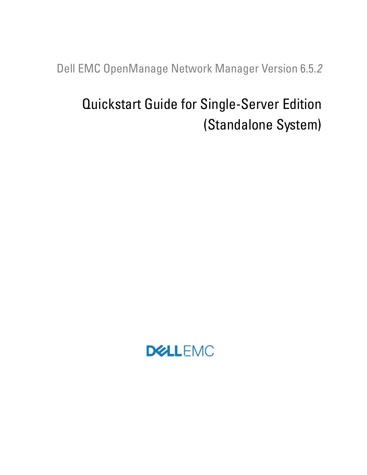Dell EMC OpenManage Network Manager Version 6.5.*2*

# Quickstart Guide for Single-Server Edition (Standalone System)

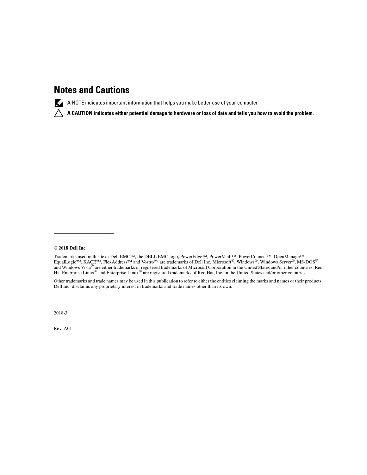## **Notes and Cautions**

 $\mathbb Z$  A NOTE indicates important information that helps you make better use of your computer.

 **A CAUTION indicates either potential damage to hardware or loss of data and tells you how to avoid the problem.**

#### **© 2018 Dell Inc.**

 $\mathcal{L}_\text{max}$  and  $\mathcal{L}_\text{max}$  and  $\mathcal{L}_\text{max}$ 

Trademarks used in this text: Dell EMC™, the DELL EMC logo, PowerEdge™, PowerVault™, PowerConnect™, OpenManage™, EqualLogic™, KACE™, FlexAddress™ and Vostro™ are trademarks of Dell Inc. Microsoft®, Windows®, Windows Server®, MS-DOS® and Windows Vista® are either trademarks or registered trademarks of Microsoft Corporation in the United States and/or other countries. Red Hat Enterprise Linux<sup>®</sup> and Enterprise Linux<sup>®</sup> are registered trademarks of Red Hat, Inc. in the United States and/or other countries.

Other trademarks and trade names may be used in this publication to refer to either the entities claiming the marks and names or their products. Dell Inc. disclaims any proprietary interest in trademarks and trade names other than its own.

2018-3

Rev. A01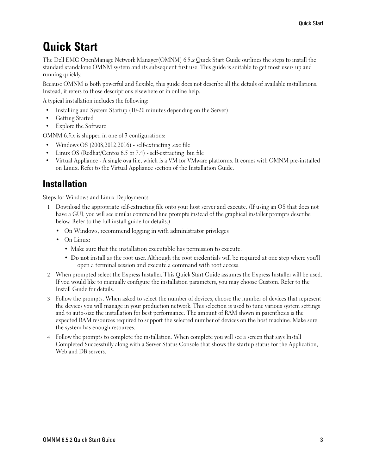## **Quick Start**

The Dell EMC OpenManage Network Manager(OMNM) 6.5.*x* Quick Start Guide outlines the steps to install the standard standalone OMNM system and its subsequent first use. This guide is suitable to get most users up and running quickly.

Because OMNM is both powerful and flexible, this guide does not describe all the details of available installations. Instead, it refers to those descriptions elsewhere or in online help.

A typical installation includes the following:

- Installing and System Startup (10-20 minutes depending on the Server)
- Getting Started
- Explore the Software

OMNM 6.5.*x* is shipped in one of 3 configurations:

- Windows OS (2008,2012,2016) self-extracting .exe file
- Linux OS (Redhat/Centos 6.5 or 7.4) self-extracting .bin file
- Virtual Appliance A single ova file, which is a VM for VMware platforms. It comes with OMNM pre-installed on Linux. Refer to the Virtual Appliance section of the Installation Guide.

### **Installation**

Steps for Windows and Linux Deployments:

- 1 Download the appropriate self-extracting file onto your host server and execute. (If using an OS that does not have a GUI, you will see similar command line prompts instead of the graphical installer prompts describe below. Refer to the full install guide for details.)
	- On Windows, recommend logging in with administrator privileges
	- On Linux:
		- Make sure that the installation executable has permission to execute.
		- **Do not** install as the root user. Although the root credentials will be required at one step where you'll open a terminal session and execute a command with root access.
- 2 When prompted select the Express Installer. This Quick Start Guide assumes the Express Installer will be used. If you would like to manually configure the installation parameters, you may choose Custom. Refer to the Install Guide for details.
- 3 Follow the prompts. When asked to select the number of devices, choose the number of devices that represent the devices you will manage in your production network. This selection is used to tune various system settings and to auto-size the installation for best performance. The amount of RAM shown in parenthesis is the expected RAM resources required to support the selected number of devices on the host machine. Make sure the system has enough resources.
- 4 Follow the prompts to complete the installation. When complete you will see a screen that says Install Completed Successfully along with a Server Status Console that shows the startup status for the Application, Web and DB servers.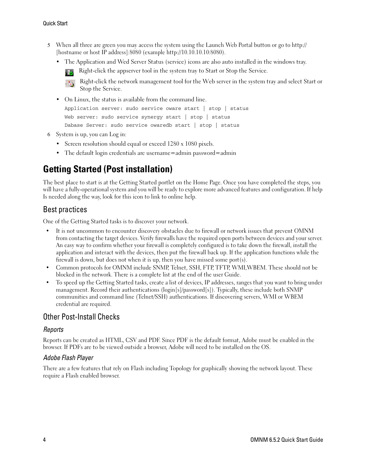- 5 When all three are green you may access the system using the Launch Web Portal button or go to http:// [hostname or host IP address]:8080 (example http://10.10.10.10:8080).
	- The Application and Wed Server Status (service) icons are also auto installed in the windows tray.

Right-click the appserver tool in the system tray to Start or Stop the Service.



Right-click the network management tool for the Web server in the system tray and select Start or Stop the Service.

- On Linux, the status is available from the command line. Application server: sudo service oware start | stop | status Web server: sudo service synergy start | stop | status Dabase Server: sudo service owaredb start | stop | status
- 6 System is up, you can Log in:
	- Screen resolution should equal or exceed 1280 x 1080 pixels.
	- The default login credentials are username=admin password=admin

## **Getting Started (Post installation)**

The best place to start is at the Getting Started portlet on the Home Page. Once you have completed the steps, you will have a fully-operational system and you will be ready to explore more advanced features and configuration. If help Is needed along the way, look for this icon to link to online help.

#### Best practices

One of the Getting Started tasks is to discover your network.

- It is not uncommon to encounter discovery obstacles due to firewall or network issues that prevent OMNM from contacting the target devices. Verify firewalls have the required open ports between devices and your server. An easy way to confirm whether your firewall is completely configured is to take down the firewall, install the application and interact with the devices, then put the firewall back up. If the application functions while the firewall is down, but does not when it is up, then you have missed some port(s).
- Common protocols for OMNM include SNMP, Telnet, SSH, FTP, TFTP, WMI,WBEM. These should not be blocked in the network. There is a complete list at the end of the user Guide.
- To speed up the Getting Started tasks, create a list of devices, IP addresses, ranges that you want to bring under management. Record their authentications (login[s]/password[s]). Typically, these include both SNMP communities and command line (Telnet/SSH) authentications. If discovering servers, WMI or WBEM credential are required.

#### Other Post-Install Checks

#### *Reports*

Reports can be created as HTML, CSV and PDF. Since PDF is the default format, Adobe must be enabled in the browser. If PDFs are to be viewed outside a browser, Adobe will need to be installed on the OS.

#### *Adobe Flash Player*

There are a few features that rely on Flash including Topology for graphically showing the network layout. These require a Flash enabled browser.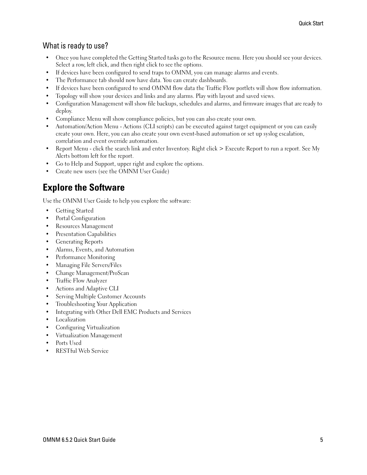### What is ready to use?

- Once you have completed the Getting Started tasks go to the Resource menu. Here you should see your devices. Select a row, left click, and then right click to see the options.
- If devices have been configured to send traps to OMNM, you can manage alarms and events.
- The Performance tab should now have data. You can create dashboards.
- If devices have been configured to send OMNM flow data the Traffic Flow portlets will show flow information.
- Topology will show your devices and links and any alarms. Play with layout and saved views.
- Configuration Management will show file backups, schedules and alarms, and firmware images that are ready to deploy.
- Compliance Menu will show compliance policies, but you can also create your own.
- Automation/Action Menu Actions (CLI scripts) can be executed against target equipment or you can easily create your own. Here, you can also create your own event-based automation or set up syslog escalation, correlation and event override automation.
- Report Menu click the search link and enter Inventory. Right click > Execute Report to run a report. See My Alerts bottom left for the report.
- Go to Help and Support, upper right and explore the options.
- Create new users (see the OMNM User Guide)

## **Explore the Software**

Use the OMNM User Guide to help you explore the software:

- Getting Started
- Portal Configuration
- Resources Management
- Presentation Capabilities
- Generating Reports
- Alarms, Events, and Automation
- Performance Monitoring
- Managing File Servers/Files
- Change Management/ProScan
- Traffic Flow Analyzer
- Actions and Adaptive CLI
- Serving Multiple Customer Accounts
- Troubleshooting Your Application
- Integrating with Other Dell EMC Products and Services
- Localization
- Configuring Virtualization
- Virtualization Management
- Ports Used
- RESTful Web Service